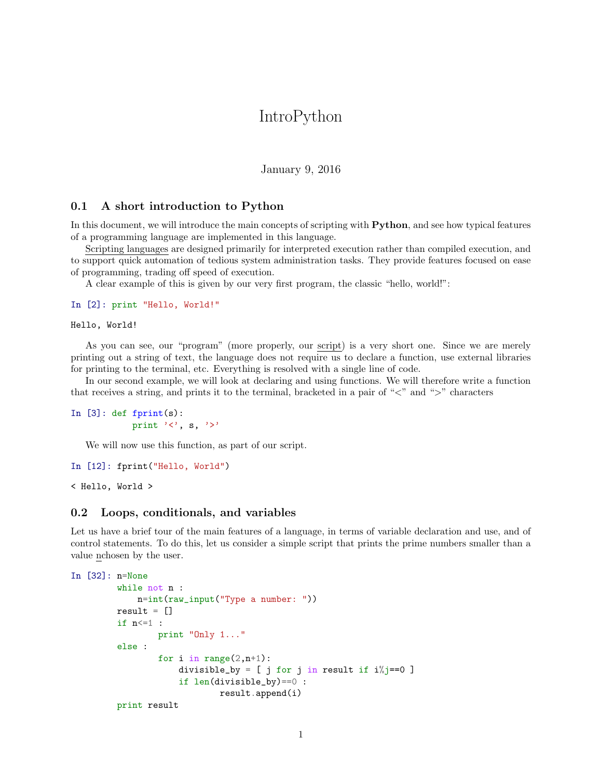## IntroPython

January 9, 2016

## 0.1 A short introduction to Python

In this document, we will introduce the main concepts of scripting with **Python**, and see how typical features of a programming language are implemented in this language.

Scripting languages are designed primarily for interpreted execution rather than compiled execution, and to support quick automation of tedious system administration tasks. They provide features focused on ease of programming, trading off speed of execution.

A clear example of this is given by our very first program, the classic "hello, world!":

```
In [2]: print "Hello, World!"
```
Hello, World!

As you can see, our "program" (more properly, our script) is a very short one. Since we are merely printing out a string of text, the language does not require us to declare a function, use external libraries for printing to the terminal, etc. Everything is resolved with a single line of code.

In our second example, we will look at declaring and using functions. We will therefore write a function that receives a string, and prints it to the terminal, bracketed in a pair of " $\lt$ " and " $\gt$ " characters

```
In [3]: def fprint(s):
                print '\langle', s, '\rangle'
```
We will now use this function, as part of our script.

```
In [12]: fprint("Hello, World")
```
< Hello, World >

## 0.2 Loops, conditionals, and variables

Let us have a brief tour of the main features of a language, in terms of variable declaration and use, and of control statements. To do this, let us consider a simple script that prints the prime numbers smaller than a value nchosen by the user.

```
In [32]: n=None
         while not n :
             n=int(raw_input("Type a number: "))
         result = []if n<=1 :
                  print "Only 1..."
         else :
                  for i in range(2,n+1):
                      divisible_by = [ j for j in result if i\frac{0}{0} == 0 ]
                      if len(divisible_by)==0 :
                               result.append(i)
         print result
```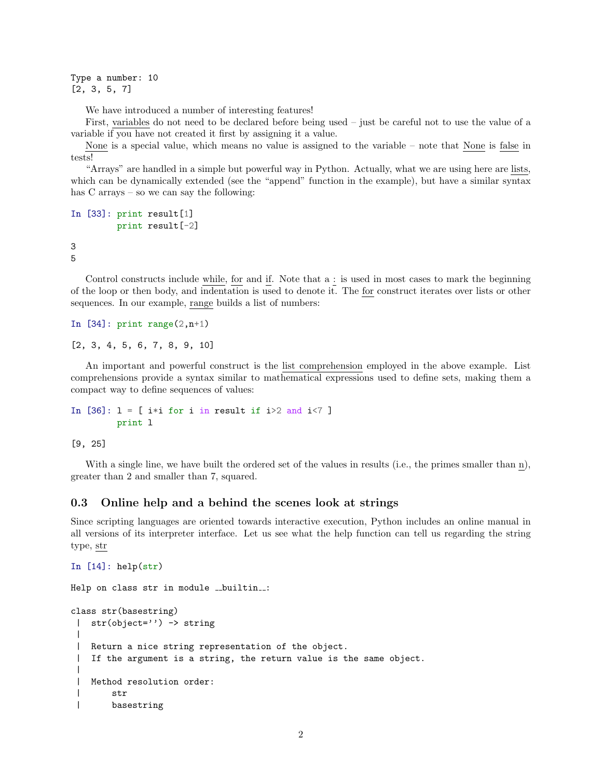Type a number: 10 [2, 3, 5, 7]

We have introduced a number of interesting features!

First, variables do not need to be declared before being used – just be careful not to use the value of a variable if you have not created it first by assigning it a value.

None is a special value, which means no value is assigned to the variable – note that None is false in tests!

"Arrays" are handled in a simple but powerful way in Python. Actually, what we are using here are lists, which can be dynamically extended (see the "append" function in the example), but have a similar syntax has C arrays – so we can say the following:

```
In [33]: print result[1]
         print result[-2]
```
3 5

Control constructs include while, for and if. Note that a : is used in most cases to mark the beginning of the loop or then body, and indentation is used to denote it. The for construct iterates over lists or other sequences. In our example, range builds a list of numbers:

In  $[34]$ : print range $(2,n+1)$ 

[2, 3, 4, 5, 6, 7, 8, 9, 10]

An important and powerful construct is the list comprehension employed in the above example. List comprehensions provide a syntax similar to mathematical expressions used to define sets, making them a compact way to define sequences of values:

```
In [36]: 1 = [ i*i for i in result if i>2 and i<7 ]
         print l
```
[9, 25]

With a single line, we have built the ordered set of the values in results (i.e., the primes smaller than n), greater than 2 and smaller than 7, squared.

## 0.3 Online help and a behind the scenes look at strings

Since scripting languages are oriented towards interactive execution, Python includes an online manual in all versions of its interpreter interface. Let us see what the help function can tell us regarding the string type, str

```
In [14]: help(str)
```

```
Help on class str in module __builtin__:
class str(basestring)
 | str(object='') -> string
 |
 | Return a nice string representation of the object.
 | If the argument is a string, the return value is the same object.
 |
 | Method resolution order:
 | str
 | basestring
```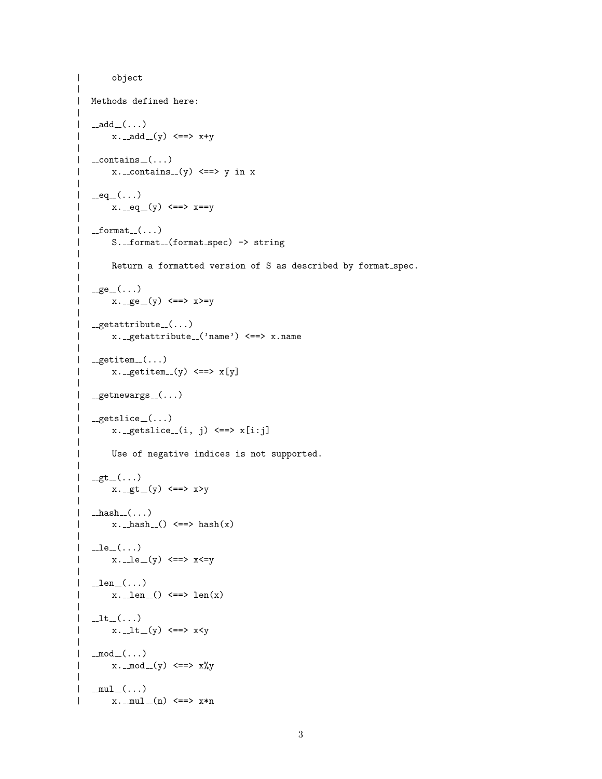```
| object
|
| Methods defined here:
\blacksquare| \_add\_(\dots)| x \cdot -add_-(y) \leq y \Rightarrow x+y|
| __contains __(...)
| x_{\text{-}.\text{contains}_{-\text{-}}}(y) \iff y \text{ in } x|
| __eq__(...)
| x \cdot -eq^{-}(y) \leq x \cdot x = y|
| __format_(...)
| S._format_(format_spec) -> string
|
| Return a formatted version of S as described by format spec.
|
| _ge_(...)
| x \cdot -ge - (y) \iff x \ge y\perp| _getattribute_-(\ldots)| x._getattribute_('name') <==> x.name
|
| _getitem ( \ldots )| x \cdot - getitem_{-}(y) \leq x[y]
\blacksquare| _{-}getnewargs_{-}(\ldots)\overline{ }| _getslice_-(\ldots)| x \cdot \text{__getslice__}(i, j) \iff x[i:j]|
        Use of negative indices is not supported.
|
| _gt_(...)
| x \cdot -gt - (y) \leq y \cdot \text{y}|
| _hash_(\ldots)| x \cdot hash () \leq => hash(x)
\perp| \Boxle\Box( \ldots )| x \cdot -1e^{-}(y) \leq y \cdot x \leq y|
| __len __(...)
| x \cdot -len() \leq y \cdot len(x)|
| It=(...)| x \cdot -1t - (y) \leq y \cdot x < y\blacksquare| \mod_{-}(\dots)| x \cdot \mod(y) \leq y \Rightarrow x \text{ and } y|
| _{mul}(...)
| x. _{mu1-}(n) \leq x x *n
```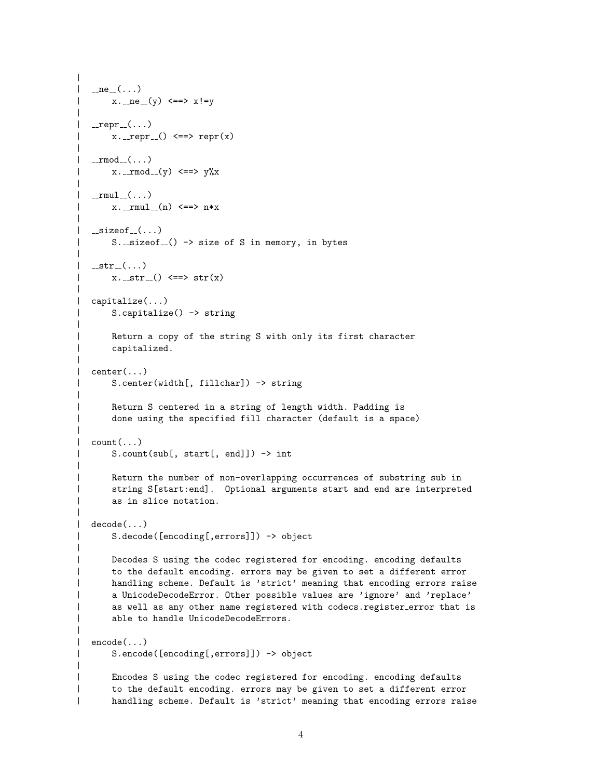```
|
| _ne __(...)
| x_{\text{-ne}=(y)} \leq x = x! = y\blacksquare| _repr ( \dots )| x_{-.} repr () <==> repr (x)
|
|\quad \verb|_{\_\_rmod_{\_\_}}(\dots)| x. _rmod_(y) <==> y\%x|
| _{rmu1_{-}(\ldots)}| x. _rmu1_-(n) \leq = > n*x|
\vert __sizeof \ldots)
| S._sizeof_() -> size of S in memory, in bytes
|
| __str__(...)
| x_{\text{-str-}}() \iff str(x)\blacksquare| capitalize(...)
| S.capitalize() -> string
|
| Return a copy of the string S with only its first character
| capitalized.
|
| center(...)
| S.center(width[, fillchar]) -> string
\overline{ }| Return S centered in a string of length width. Padding is
| done using the specified fill character (default is a space)
|
| count(...)| S.count(sub[, start[, end]]) -> int
|
| Return the number of non-overlapping occurrences of substring sub in
| string S[start:end]. Optional arguments start and end are interpreted
| as in slice notation.
|
| decode(...)
| S.decode([encoding[,errors]]) -> object
|
| Decodes S using the codec registered for encoding. encoding defaults
| to the default encoding. errors may be given to set a different error
| handling scheme. Default is 'strict' meaning that encoding errors raise
| a UnicodeDecodeError. Other possible values are 'ignore' and 'replace'
| as well as any other name registered with codecs.register_error that is
      able to handle UnicodeDecodeErrors.
|
| encode(...)
| S.encode([encoding[,errors]]) -> object
|
| Encodes S using the codec registered for encoding. encoding defaults
| to the default encoding. errors may be given to set a different error
| handling scheme. Default is 'strict' meaning that encoding errors raise
```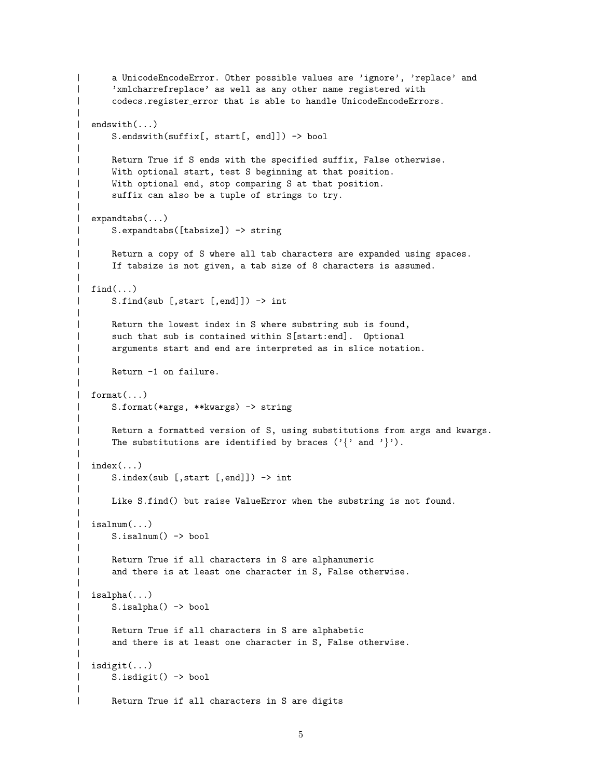```
| a UnicodeEncodeError. Other possible values are 'ignore', 'replace' and
| 'xmlcharrefreplace' as well as any other name registered with
| codecs.register error that is able to handle UnicodeEncodeErrors.
\perp| endswith(...)
| S.endswith(suffix[, start[, end]]) -> bool
|
| Return True if S ends with the specified suffix, False otherwise.
| With optional start, test S beginning at that position.
      With optional end, stop comparing S at that position.
      suffix can also be a tuple of strings to try.
|
| expandtabs(...)
| S.expandtabs([tabsize]) -> string
|
| Return a copy of S where all tab characters are expanded using spaces.
| If tabsize is not given, a tab size of 8 characters is assumed.
|
\int find(...)
| S.find(sub [,start [,end]]) -> int
|
| Return the lowest index in S where substring sub is found,
| such that sub is contained within S[start:end]. Optional
      arguments start and end are interpreted as in slice notation.
|
      Return -1 on failure.
|
| format(...)
| S.format(*args, **kwargs) -> string
|
| Return a formatted version of S, using substitutions from args and kwargs.
      The substitutions are identified by braces ('{' } and '').
|
| index(...)| S.index(sub [,start [,end]]) -> int
|
| Like S.find() but raise ValueError when the substring is not found.
|
| isalnum(...)
| S.isalnum() -> bool
|
| Return True if all characters in S are alphanumeric
      and there is at least one character in S, False otherwise.
|
| isalpha(...)
| S.isalpha() -> bool
|
| Return True if all characters in S are alphabetic
      and there is at least one character in S, False otherwise.
|
| isdigit(...)
| S.isdigit() -> bool
|
| Return True if all characters in S are digits
```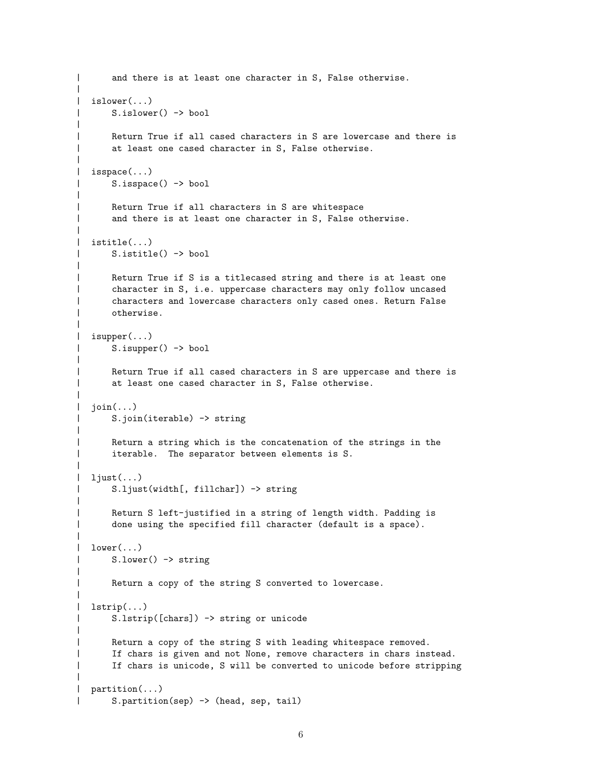```
| and there is at least one character in S, False otherwise.
|
| islower(...)
| S.islower() -> bool
|
| Return True if all cased characters in S are lowercase and there is
| at least one cased character in S, False otherwise.
|
| isspace(...)
| S.isspace() -> bool
|
| Return True if all characters in S are whitespace
| and there is at least one character in S, False otherwise.
|
| istitle(...)
| S.istitle() -> bool
|
| Return True if S is a titlecased string and there is at least one
| character in S, i.e. uppercase characters may only follow uncased
      characters and lowercase characters only cased ones. Return False
| otherwise.
|
| isupper(...)
| S.isupper() -> bool
|
      Return True if all cased characters in S are uppercase and there is
      at least one cased character in S, False otherwise.
|
| join(...)| S.join(iterable) -> string
|
      Return a string which is the concatenation of the strings in the
| iterable. The separator between elements is S.
|
| ljust(...)
| S.ljust(width[, fillchar]) -> string
|
| Return S left-justified in a string of length width. Padding is
      done using the specified fill character (default is a space).
|
| lower(\ldots)| S.lower() -> string
|
| Return a copy of the string S converted to lowercase.
|
| lstrip(...)
| S.lstrip([chars]) -> string or unicode
|
      Return a copy of the string S with leading whitespace removed.
      If chars is given and not None, remove characters in chars instead.
| If chars is unicode, S will be converted to unicode before stripping
|
| partition(...)
      S.partition(sep) -> (head, sep, tail)
```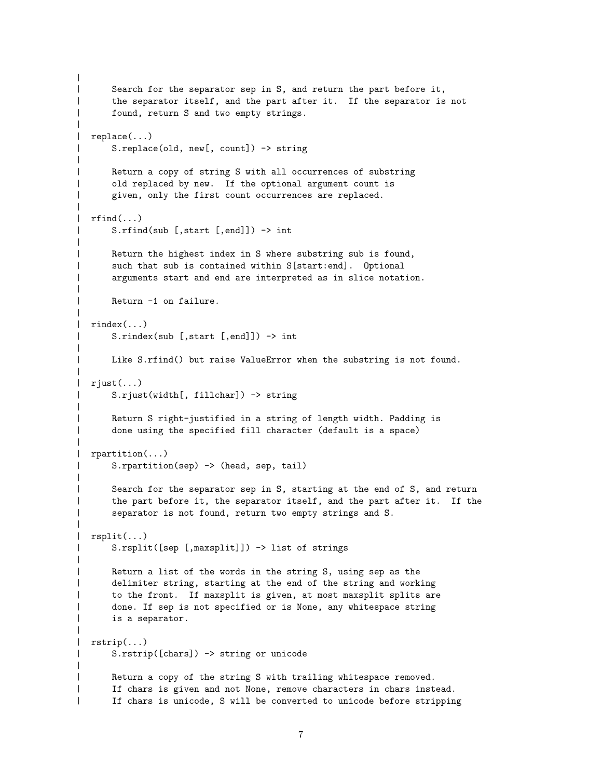```
|
| Search for the separator sep in S, and return the part before it,
| the separator itself, and the part after it. If the separator is not
| found, return S and two empty strings.
|
| replace(...)
| S.replace(old, new[, count]) -> string
|
| Return a copy of string S with all occurrences of substring
| old replaced by new. If the optional argument count is
      given, only the first count occurrences are replaced.
|
\mid rfind(\ldots)| S.rfind(sub [,start [,end]]) -> int
|
| Return the highest index in S where substring sub is found,
| such that sub is contained within S[start:end]. Optional
      arguments start and end are interpreted as in slice notation.
|
      Return -1 on failure.
|
| rindex(...)
| S.rindex(sub [,start [,end]]) -> int
|
| Like S.rfind() but raise ValueError when the substring is not found.
|
| rjust(...)
| S.rjust(width[, fillchar]) -> string
|
| Return S right-justified in a string of length width. Padding is
      done using the specified fill character (default is a space)
|
| rpartition(...)
| S.rpartition(sep) -> (head, sep, tail)
|
| Search for the separator sep in S, starting at the end of S, and return
| the part before it, the separator itself, and the part after it. If the
| separator is not found, return two empty strings and S.
|
| rsplit(...)
| S.rsplit([sep [,maxsplit]]) -> list of strings
|
| Return a list of the words in the string S, using sep as the
| delimiter string, starting at the end of the string and working
      to the front. If maxsplit is given, at most maxsplit splits are
      done. If sep is not specified or is None, any whitespace string
      is a separator.
|
| rstrip(...)
| S.rstrip([chars]) -> string or unicode
|
| Return a copy of the string S with trailing whitespace removed.
| If chars is given and not None, remove characters in chars instead.
| If chars is unicode, S will be converted to unicode before stripping
```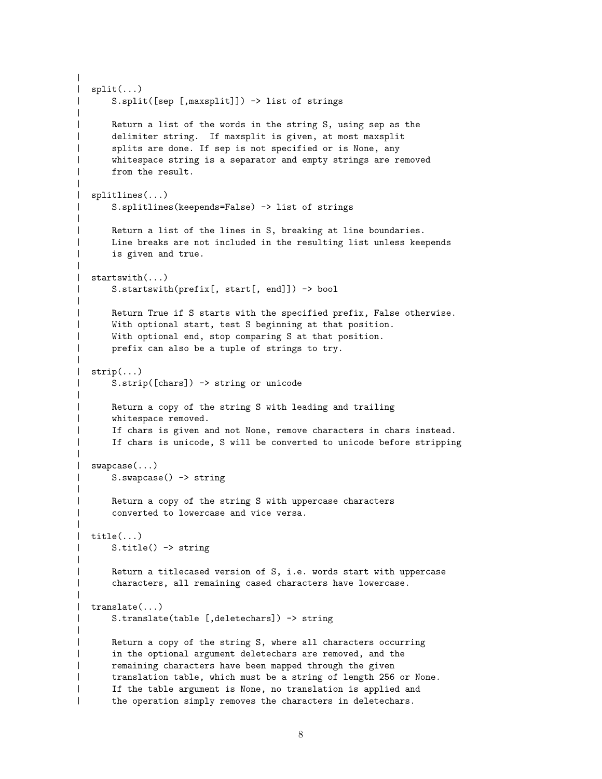```
|
| split(...)
| S.split([sep [,maxsplit]]) -> list of strings
|
| Return a list of the words in the string S, using sep as the
| delimiter string. If maxsplit is given, at most maxsplit
| splits are done. If sep is not specified or is None, any
      whitespace string is a separator and empty strings are removed
      from the result.
|
| splitlines(...)
| S.splitlines(keepends=False) -> list of strings
|
| Return a list of the lines in S, breaking at line boundaries.
| Line breaks are not included in the resulting list unless keepends
| is given and true.
|
| startswith(...)
| S.startswith(prefix[, start[, end]]) -> bool
|
| Return True if S starts with the specified prefix, False otherwise.
| With optional start, test S beginning at that position.
| With optional end, stop comparing S at that position.
      prefix can also be a tuple of strings to try.
|
| strip(...)
| S.strip([chars]) -> string or unicode
|
| Return a copy of the string S with leading and trailing
| whitespace removed.
| If chars is given and not None, remove characters in chars instead.
      If chars is unicode, S will be converted to unicode before stripping
|
| swapcase(...)
| S.swapcase() -> string
|
| Return a copy of the string S with uppercase characters
| converted to lowercase and vice versa.
|
| title(...)| S.title() -> string
|
| Return a titlecased version of S, i.e. words start with uppercase
| characters, all remaining cased characters have lowercase.
|
| translate(...)
| S.translate(table [,deletechars]) -> string
|
| Return a copy of the string S, where all characters occurring
| in the optional argument deletechars are removed, and the
| remaining characters have been mapped through the given
| translation table, which must be a string of length 256 or None.
| If the table argument is None, no translation is applied and
| the operation simply removes the characters in deletechars.
```
8